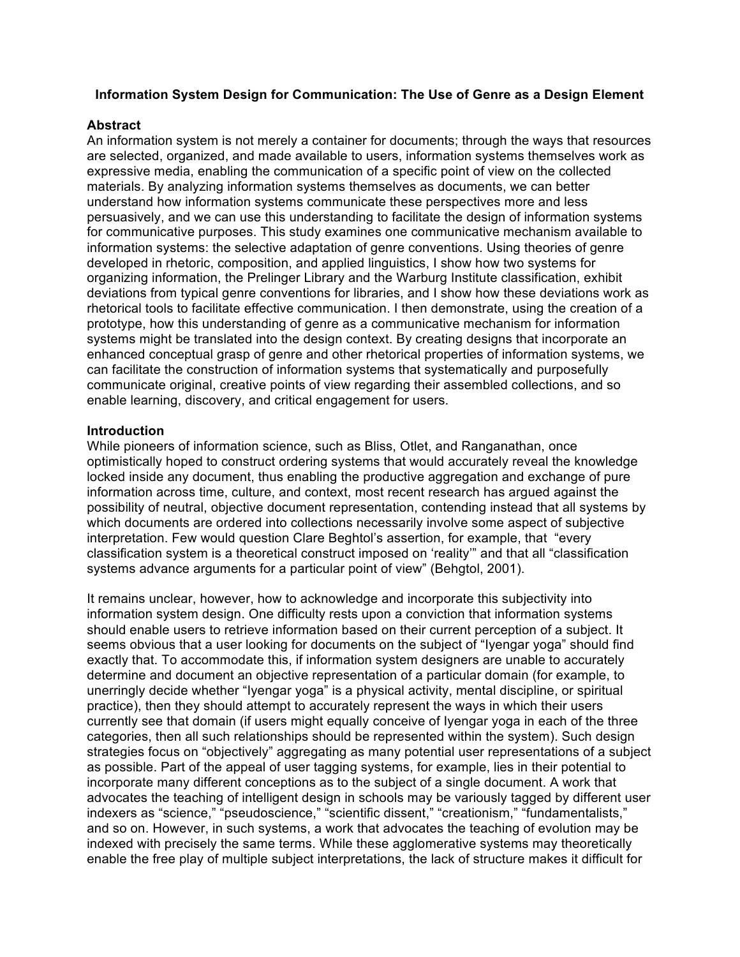## **Information System Design for Communication: The Use of Genre as a Design Element**

## **Abstract**

An information system is not merely a container for documents; through the ways that resources are selected, organized, and made available to users, information systems themselves work as expressive media, enabling the communication of a specific point of view on the collected materials. By analyzing information systems themselves as documents, we can better understand how information systems communicate these perspectives more and less persuasively, and we can use this understanding to facilitate the design of information systems for communicative purposes. This study examines one communicative mechanism available to information systems: the selective adaptation of genre conventions. Using theories of genre developed in rhetoric, composition, and applied linguistics, I show how two systems for organizing information, the Prelinger Library and the Warburg Institute classification, exhibit deviations from typical genre conventions for libraries, and I show how these deviations work as rhetorical tools to facilitate effective communication. I then demonstrate, using the creation of a prototype, how this understanding of genre as a communicative mechanism for information systems might be translated into the design context. By creating designs that incorporate an enhanced conceptual grasp of genre and other rhetorical properties of information systems, we can facilitate the construction of information systems that systematically and purposefully communicate original, creative points of view regarding their assembled collections, and so enable learning, discovery, and critical engagement for users.

## **Introduction**

While pioneers of information science, such as Bliss, Otlet, and Ranganathan, once optimistically hoped to construct ordering systems that would accurately reveal the knowledge locked inside any document, thus enabling the productive aggregation and exchange of pure information across time, culture, and context, most recent research has argued against the possibility of neutral, objective document representation, contending instead that all systems by which documents are ordered into collections necessarily involve some aspect of subjective interpretation. Few would question Clare Beghtol's assertion, for example, that "every classification system is a theoretical construct imposed on 'reality'" and that all "classification systems advance arguments for a particular point of view" (Behgtol, 2001).

It remains unclear, however, how to acknowledge and incorporate this subjectivity into information system design. One difficulty rests upon a conviction that information systems should enable users to retrieve information based on their current perception of a subject. It seems obvious that a user looking for documents on the subject of "Iyengar yoga" should find exactly that. To accommodate this, if information system designers are unable to accurately determine and document an objective representation of a particular domain (for example, to unerringly decide whether "Iyengar yoga" is a physical activity, mental discipline, or spiritual practice), then they should attempt to accurately represent the ways in which their users currently see that domain (if users might equally conceive of Iyengar yoga in each of the three categories, then all such relationships should be represented within the system). Such design strategies focus on "objectively" aggregating as many potential user representations of a subject as possible. Part of the appeal of user tagging systems, for example, lies in their potential to incorporate many different conceptions as to the subject of a single document. A work that advocates the teaching of intelligent design in schools may be variously tagged by different user indexers as "science," "pseudoscience," "scientific dissent," "creationism," "fundamentalists," and so on. However, in such systems, a work that advocates the teaching of evolution may be indexed with precisely the same terms. While these agglomerative systems may theoretically enable the free play of multiple subject interpretations, the lack of structure makes it difficult for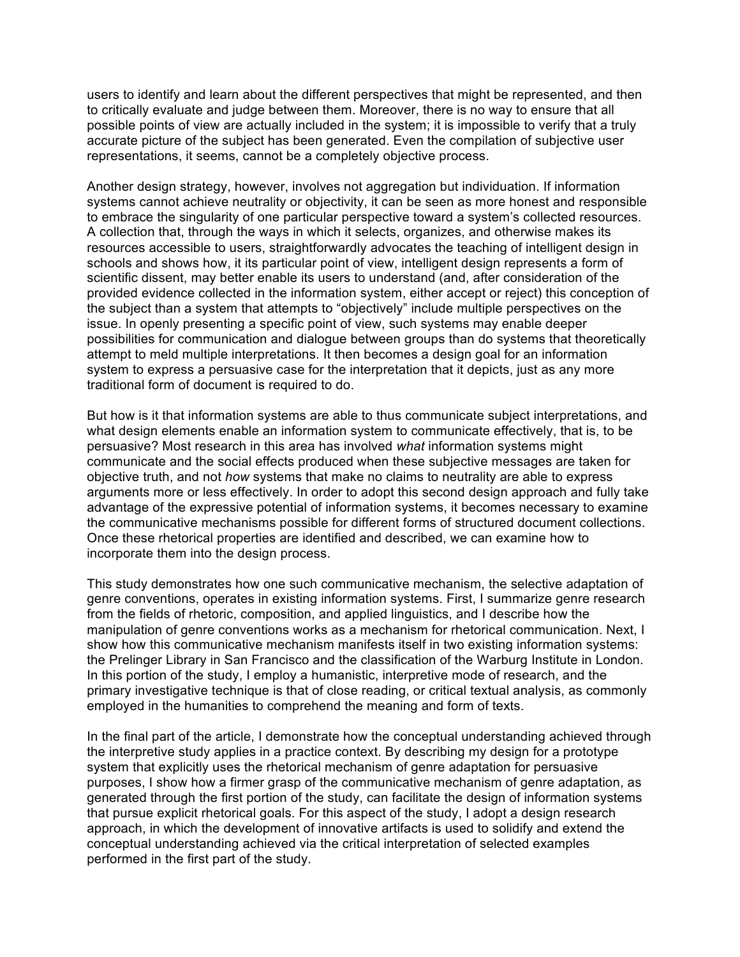users to identify and learn about the different perspectives that might be represented, and then to critically evaluate and judge between them. Moreover, there is no way to ensure that all possible points of view are actually included in the system; it is impossible to verify that a truly accurate picture of the subject has been generated. Even the compilation of subjective user representations, it seems, cannot be a completely objective process.

Another design strategy, however, involves not aggregation but individuation. If information systems cannot achieve neutrality or objectivity, it can be seen as more honest and responsible to embrace the singularity of one particular perspective toward a system's collected resources. A collection that, through the ways in which it selects, organizes, and otherwise makes its resources accessible to users, straightforwardly advocates the teaching of intelligent design in schools and shows how, it its particular point of view, intelligent design represents a form of scientific dissent, may better enable its users to understand (and, after consideration of the provided evidence collected in the information system, either accept or reject) this conception of the subject than a system that attempts to "objectively" include multiple perspectives on the issue. In openly presenting a specific point of view, such systems may enable deeper possibilities for communication and dialogue between groups than do systems that theoretically attempt to meld multiple interpretations. It then becomes a design goal for an information system to express a persuasive case for the interpretation that it depicts, just as any more traditional form of document is required to do.

But how is it that information systems are able to thus communicate subject interpretations, and what design elements enable an information system to communicate effectively, that is, to be persuasive? Most research in this area has involved *what* information systems might communicate and the social effects produced when these subjective messages are taken for objective truth, and not *how* systems that make no claims to neutrality are able to express arguments more or less effectively. In order to adopt this second design approach and fully take advantage of the expressive potential of information systems, it becomes necessary to examine the communicative mechanisms possible for different forms of structured document collections. Once these rhetorical properties are identified and described, we can examine how to incorporate them into the design process.

This study demonstrates how one such communicative mechanism, the selective adaptation of genre conventions, operates in existing information systems. First, I summarize genre research from the fields of rhetoric, composition, and applied linguistics, and I describe how the manipulation of genre conventions works as a mechanism for rhetorical communication. Next, I show how this communicative mechanism manifests itself in two existing information systems: the Prelinger Library in San Francisco and the classification of the Warburg Institute in London. In this portion of the study, I employ a humanistic, interpretive mode of research, and the primary investigative technique is that of close reading, or critical textual analysis, as commonly employed in the humanities to comprehend the meaning and form of texts.

In the final part of the article, I demonstrate how the conceptual understanding achieved through the interpretive study applies in a practice context. By describing my design for a prototype system that explicitly uses the rhetorical mechanism of genre adaptation for persuasive purposes, I show how a firmer grasp of the communicative mechanism of genre adaptation, as generated through the first portion of the study, can facilitate the design of information systems that pursue explicit rhetorical goals. For this aspect of the study, I adopt a design research approach, in which the development of innovative artifacts is used to solidify and extend the conceptual understanding achieved via the critical interpretation of selected examples performed in the first part of the study.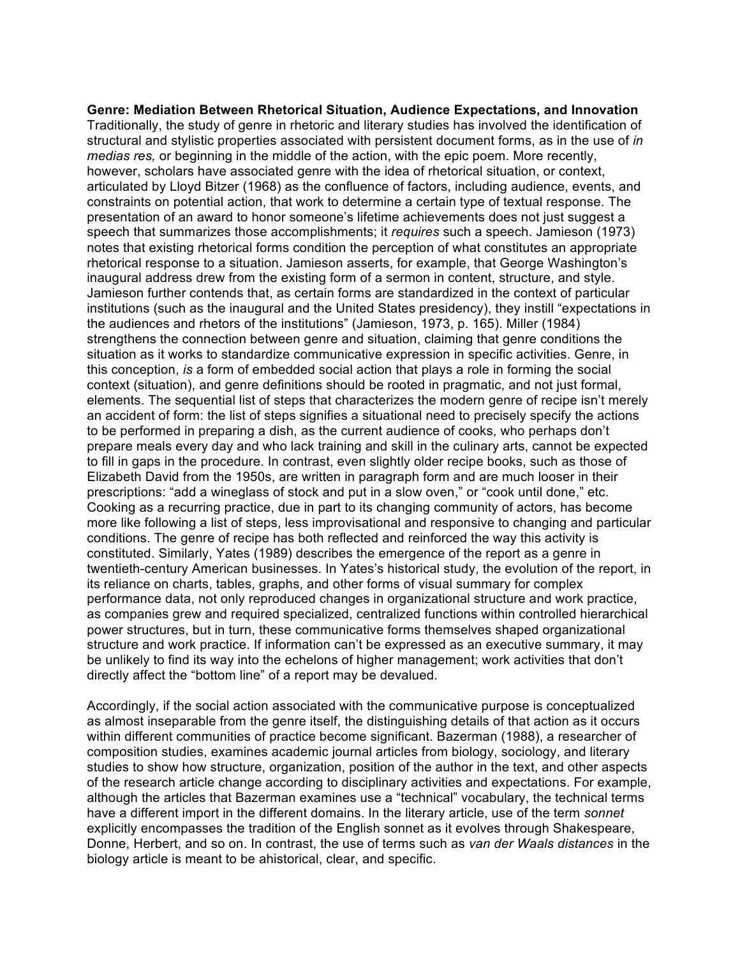**Genre: Mediation Between Rhetorical Situation, Audience Expectations, and Innovation** Traditionally, the study of genre in rhetoric and literary studies has involved the identification of structural and stylistic properties associated with persistent document forms, as in the use of *in medias res,* or beginning in the middle of the action, with the epic poem. More recently, however, scholars have associated genre with the idea of rhetorical situation, or context, articulated by Lloyd Bitzer (1968) as the confluence of factors, including audience, events, and constraints on potential action, that work to determine a certain type of textual response. The presentation of an award to honor someone's lifetime achievements does not just suggest a speech that summarizes those accomplishments; it *requires* such a speech. Jamieson (1973) notes that existing rhetorical forms condition the perception of what constitutes an appropriate rhetorical response to a situation. Jamieson asserts, for example, that George Washington's inaugural address drew from the existing form of a sermon in content, structure, and style. Jamieson further contends that, as certain forms are standardized in the context of particular institutions (such as the inaugural and the United States presidency), they instill "expectations in the audiences and rhetors of the institutions" (Jamieson, 1973, p. 165). Miller (1984) strengthens the connection between genre and situation, claiming that genre conditions the situation as it works to standardize communicative expression in specific activities. Genre, in this conception, *is* a form of embedded social action that plays a role in forming the social context (situation), and genre definitions should be rooted in pragmatic, and not just formal, elements. The sequential list of steps that characterizes the modern genre of recipe isn't merely an accident of form: the list of steps signifies a situational need to precisely specify the actions to be performed in preparing a dish, as the current audience of cooks, who perhaps don't prepare meals every day and who lack training and skill in the culinary arts, cannot be expected to fill in gaps in the procedure. In contrast, even slightly older recipe books, such as those of Elizabeth David from the 1950s, are written in paragraph form and are much looser in their prescriptions: "add a wineglass of stock and put in a slow oven," or "cook until done," etc. Cooking as a recurring practice, due in part to its changing community of actors, has become more like following a list of steps, less improvisational and responsive to changing and particular conditions. The genre of recipe has both reflected and reinforced the way this activity is constituted. Similarly, Yates (1989) describes the emergence of the report as a genre in twentieth-century American businesses. In Yates's historical study, the evolution of the report, in its reliance on charts, tables, graphs, and other forms of visual summary for complex performance data, not only reproduced changes in organizational structure and work practice, as companies grew and required specialized, centralized functions within controlled hierarchical power structures, but in turn, these communicative forms themselves shaped organizational structure and work practice. If information can't be expressed as an executive summary, it may be unlikely to find its way into the echelons of higher management; work activities that don't directly affect the "bottom line" of a report may be devalued.

Accordingly, if the social action associated with the communicative purpose is conceptualized as almost inseparable from the genre itself, the distinguishing details of that action as it occurs within different communities of practice become significant. Bazerman (1988), a researcher of composition studies, examines academic journal articles from biology, sociology, and literary studies to show how structure, organization, position of the author in the text, and other aspects of the research article change according to disciplinary activities and expectations. For example, although the articles that Bazerman examines use a "technical" vocabulary, the technical terms have a different import in the different domains. In the literary article, use of the term *sonnet* explicitly encompasses the tradition of the English sonnet as it evolves through Shakespeare, Donne, Herbert, and so on. In contrast, the use of terms such as *van der Waals distances* in the biology article is meant to be ahistorical, clear, and specific.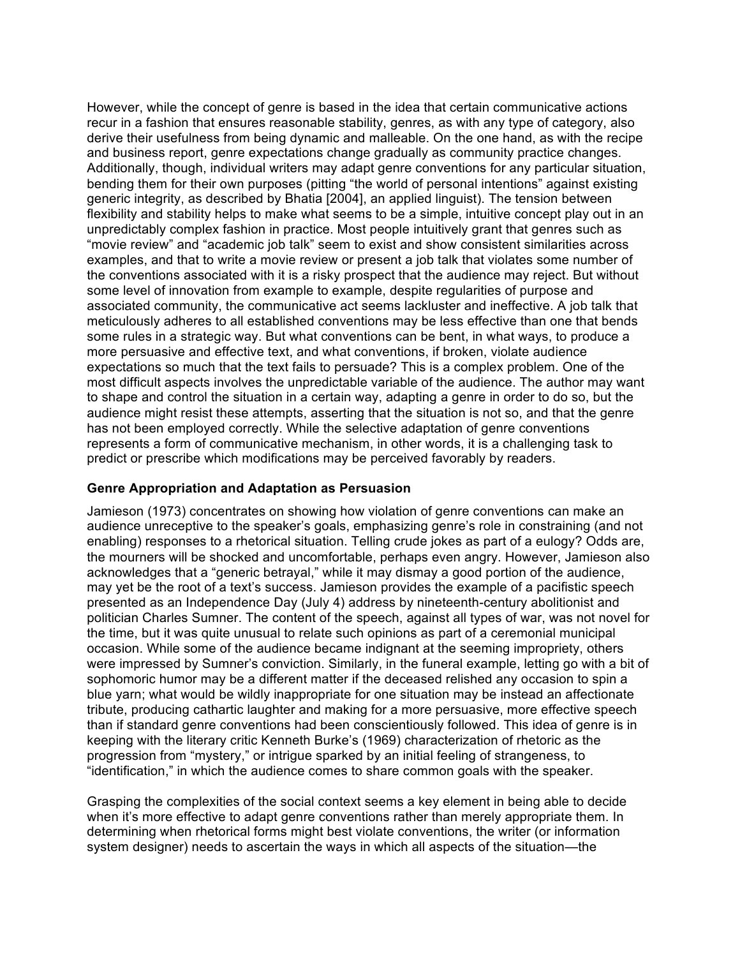However, while the concept of genre is based in the idea that certain communicative actions recur in a fashion that ensures reasonable stability, genres, as with any type of category, also derive their usefulness from being dynamic and malleable. On the one hand, as with the recipe and business report, genre expectations change gradually as community practice changes. Additionally, though, individual writers may adapt genre conventions for any particular situation, bending them for their own purposes (pitting "the world of personal intentions" against existing generic integrity, as described by Bhatia [2004], an applied linguist). The tension between flexibility and stability helps to make what seems to be a simple, intuitive concept play out in an unpredictably complex fashion in practice. Most people intuitively grant that genres such as "movie review" and "academic job talk" seem to exist and show consistent similarities across examples, and that to write a movie review or present a job talk that violates some number of the conventions associated with it is a risky prospect that the audience may reject. But without some level of innovation from example to example, despite regularities of purpose and associated community, the communicative act seems lackluster and ineffective. A job talk that meticulously adheres to all established conventions may be less effective than one that bends some rules in a strategic way. But what conventions can be bent, in what ways, to produce a more persuasive and effective text, and what conventions, if broken, violate audience expectations so much that the text fails to persuade? This is a complex problem. One of the most difficult aspects involves the unpredictable variable of the audience. The author may want to shape and control the situation in a certain way, adapting a genre in order to do so, but the audience might resist these attempts, asserting that the situation is not so, and that the genre has not been employed correctly. While the selective adaptation of genre conventions represents a form of communicative mechanism, in other words, it is a challenging task to predict or prescribe which modifications may be perceived favorably by readers.

## **Genre Appropriation and Adaptation as Persuasion**

Jamieson (1973) concentrates on showing how violation of genre conventions can make an audience unreceptive to the speaker's goals, emphasizing genre's role in constraining (and not enabling) responses to a rhetorical situation. Telling crude jokes as part of a eulogy? Odds are, the mourners will be shocked and uncomfortable, perhaps even angry. However, Jamieson also acknowledges that a "generic betrayal," while it may dismay a good portion of the audience, may yet be the root of a text's success. Jamieson provides the example of a pacifistic speech presented as an Independence Day (July 4) address by nineteenth-century abolitionist and politician Charles Sumner. The content of the speech, against all types of war, was not novel for the time, but it was quite unusual to relate such opinions as part of a ceremonial municipal occasion. While some of the audience became indignant at the seeming impropriety, others were impressed by Sumner's conviction. Similarly, in the funeral example, letting go with a bit of sophomoric humor may be a different matter if the deceased relished any occasion to spin a blue yarn; what would be wildly inappropriate for one situation may be instead an affectionate tribute, producing cathartic laughter and making for a more persuasive, more effective speech than if standard genre conventions had been conscientiously followed. This idea of genre is in keeping with the literary critic Kenneth Burke's (1969) characterization of rhetoric as the progression from "mystery," or intrigue sparked by an initial feeling of strangeness, to "identification," in which the audience comes to share common goals with the speaker.

Grasping the complexities of the social context seems a key element in being able to decide when it's more effective to adapt genre conventions rather than merely appropriate them. In determining when rhetorical forms might best violate conventions, the writer (or information system designer) needs to ascertain the ways in which all aspects of the situation—the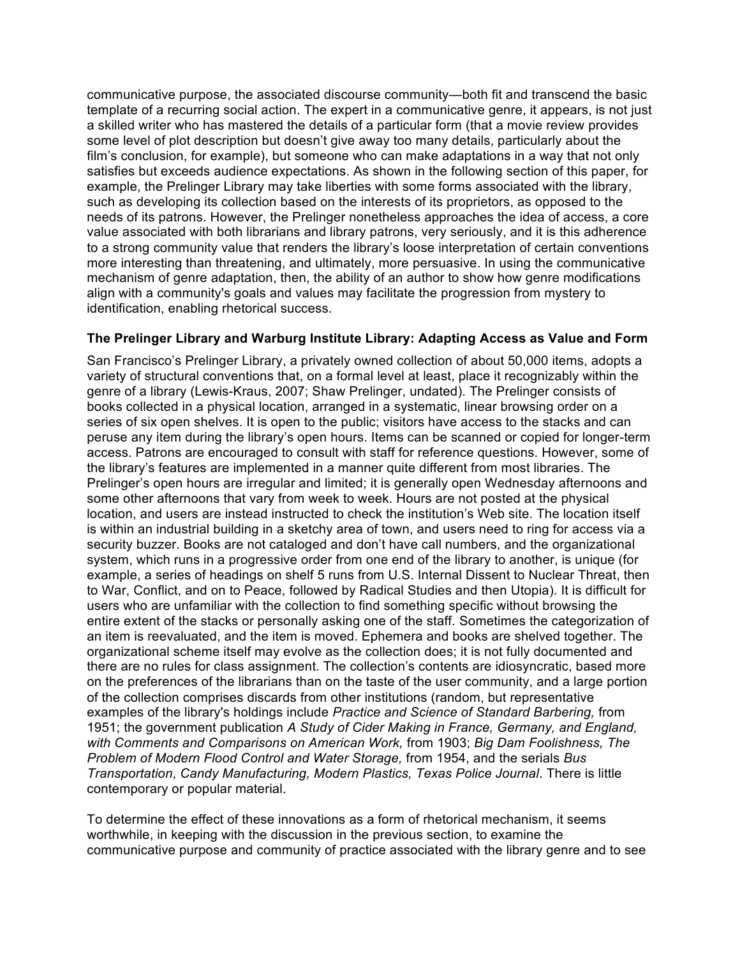communicative purpose, the associated discourse community—both fit and transcend the basic template of a recurring social action. The expert in a communicative genre, it appears, is not just a skilled writer who has mastered the details of a particular form (that a movie review provides some level of plot description but doesn't give away too many details, particularly about the film's conclusion, for example), but someone who can make adaptations in a way that not only satisfies but exceeds audience expectations. As shown in the following section of this paper, for example, the Prelinger Library may take liberties with some forms associated with the library, such as developing its collection based on the interests of its proprietors, as opposed to the needs of its patrons. However, the Prelinger nonetheless approaches the idea of access, a core value associated with both librarians and library patrons, very seriously, and it is this adherence to a strong community value that renders the library's loose interpretation of certain conventions more interesting than threatening, and ultimately, more persuasive. In using the communicative mechanism of genre adaptation, then, the ability of an author to show how genre modifications align with a community's goals and values may facilitate the progression from mystery to identification, enabling rhetorical success.

# **The Prelinger Library and Warburg Institute Library: Adapting Access as Value and Form**

San Francisco's Prelinger Library, a privately owned collection of about 50,000 items, adopts a variety of structural conventions that, on a formal level at least, place it recognizably within the genre of a library (Lewis-Kraus, 2007; Shaw Prelinger, undated). The Prelinger consists of books collected in a physical location, arranged in a systematic, linear browsing order on a series of six open shelves. It is open to the public; visitors have access to the stacks and can peruse any item during the library's open hours. Items can be scanned or copied for longer-term access. Patrons are encouraged to consult with staff for reference questions. However, some of the library's features are implemented in a manner quite different from most libraries. The Prelinger's open hours are irregular and limited; it is generally open Wednesday afternoons and some other afternoons that vary from week to week. Hours are not posted at the physical location, and users are instead instructed to check the institution's Web site. The location itself is within an industrial building in a sketchy area of town, and users need to ring for access via a security buzzer. Books are not cataloged and don't have call numbers, and the organizational system, which runs in a progressive order from one end of the library to another, is unique (for example, a series of headings on shelf 5 runs from U.S. Internal Dissent to Nuclear Threat, then to War, Conflict, and on to Peace, followed by Radical Studies and then Utopia). It is difficult for users who are unfamiliar with the collection to find something specific without browsing the entire extent of the stacks or personally asking one of the staff. Sometimes the categorization of an item is reevaluated, and the item is moved. Ephemera and books are shelved together. The organizational scheme itself may evolve as the collection does; it is not fully documented and there are no rules for class assignment. The collection's contents are idiosyncratic, based more on the preferences of the librarians than on the taste of the user community, and a large portion of the collection comprises discards from other institutions (random, but representative examples of the library's holdings include *Practice and Science of Standard Barbering,* from 1951; the government publication *A Study of Cider Making in France, Germany, and England, with Comments and Comparisons on American Work,* from 1903; *Big Dam Foolishness, The Problem of Modern Flood Control and Water Storage,* from 1954, and the serials *Bus Transportation*, *Candy Manufacturing, Modern Plastics, Texas Police Journal*. There is little contemporary or popular material.

To determine the effect of these innovations as a form of rhetorical mechanism, it seems worthwhile, in keeping with the discussion in the previous section, to examine the communicative purpose and community of practice associated with the library genre and to see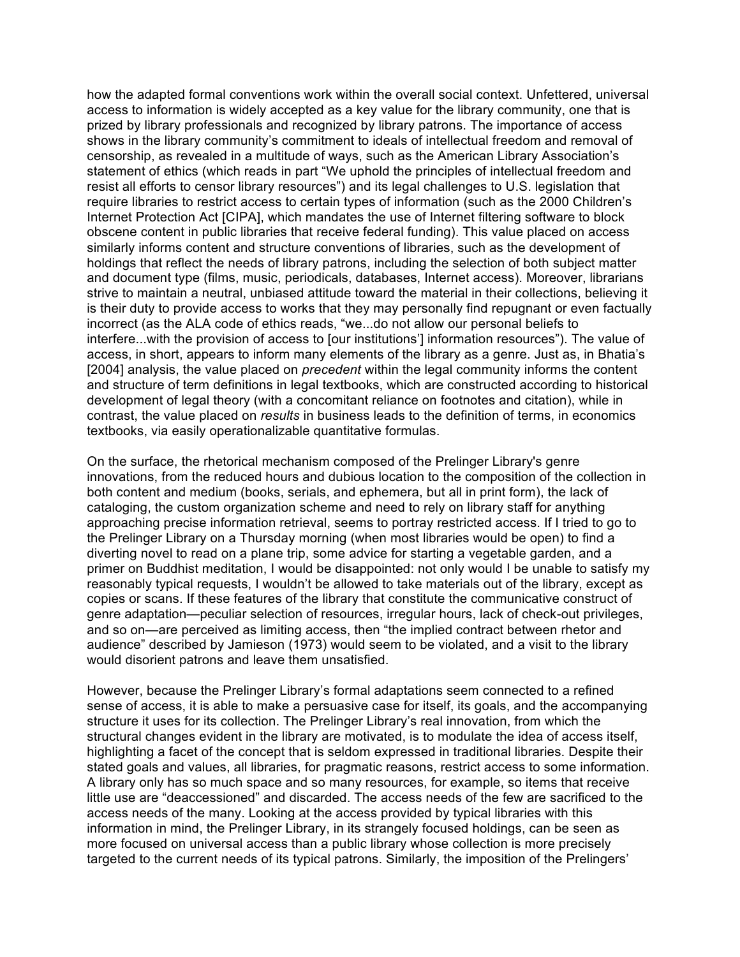how the adapted formal conventions work within the overall social context. Unfettered, universal access to information is widely accepted as a key value for the library community, one that is prized by library professionals and recognized by library patrons. The importance of access shows in the library community's commitment to ideals of intellectual freedom and removal of censorship, as revealed in a multitude of ways, such as the American Library Association's statement of ethics (which reads in part "We uphold the principles of intellectual freedom and resist all efforts to censor library resources") and its legal challenges to U.S. legislation that require libraries to restrict access to certain types of information (such as the 2000 Children's Internet Protection Act [CIPA], which mandates the use of Internet filtering software to block obscene content in public libraries that receive federal funding). This value placed on access similarly informs content and structure conventions of libraries, such as the development of holdings that reflect the needs of library patrons, including the selection of both subject matter and document type (films, music, periodicals, databases, Internet access). Moreover, librarians strive to maintain a neutral, unbiased attitude toward the material in their collections, believing it is their duty to provide access to works that they may personally find repugnant or even factually incorrect (as the ALA code of ethics reads, "we...do not allow our personal beliefs to interfere...with the provision of access to [our institutions'] information resources"). The value of access, in short, appears to inform many elements of the library as a genre. Just as, in Bhatia's [2004] analysis, the value placed on *precedent* within the legal community informs the content and structure of term definitions in legal textbooks, which are constructed according to historical development of legal theory (with a concomitant reliance on footnotes and citation), while in contrast, the value placed on *results* in business leads to the definition of terms, in economics textbooks, via easily operationalizable quantitative formulas.

On the surface, the rhetorical mechanism composed of the Prelinger Library's genre innovations, from the reduced hours and dubious location to the composition of the collection in both content and medium (books, serials, and ephemera, but all in print form), the lack of cataloging, the custom organization scheme and need to rely on library staff for anything approaching precise information retrieval, seems to portray restricted access. If I tried to go to the Prelinger Library on a Thursday morning (when most libraries would be open) to find a diverting novel to read on a plane trip, some advice for starting a vegetable garden, and a primer on Buddhist meditation, I would be disappointed: not only would I be unable to satisfy my reasonably typical requests, I wouldn't be allowed to take materials out of the library, except as copies or scans. If these features of the library that constitute the communicative construct of genre adaptation—peculiar selection of resources, irregular hours, lack of check-out privileges, and so on—are perceived as limiting access, then "the implied contract between rhetor and audience" described by Jamieson (1973) would seem to be violated, and a visit to the library would disorient patrons and leave them unsatisfied.

However, because the Prelinger Library's formal adaptations seem connected to a refined sense of access, it is able to make a persuasive case for itself, its goals, and the accompanying structure it uses for its collection. The Prelinger Library's real innovation, from which the structural changes evident in the library are motivated, is to modulate the idea of access itself, highlighting a facet of the concept that is seldom expressed in traditional libraries. Despite their stated goals and values, all libraries, for pragmatic reasons, restrict access to some information. A library only has so much space and so many resources, for example, so items that receive little use are "deaccessioned" and discarded. The access needs of the few are sacrificed to the access needs of the many. Looking at the access provided by typical libraries with this information in mind, the Prelinger Library, in its strangely focused holdings, can be seen as more focused on universal access than a public library whose collection is more precisely targeted to the current needs of its typical patrons. Similarly, the imposition of the Prelingers'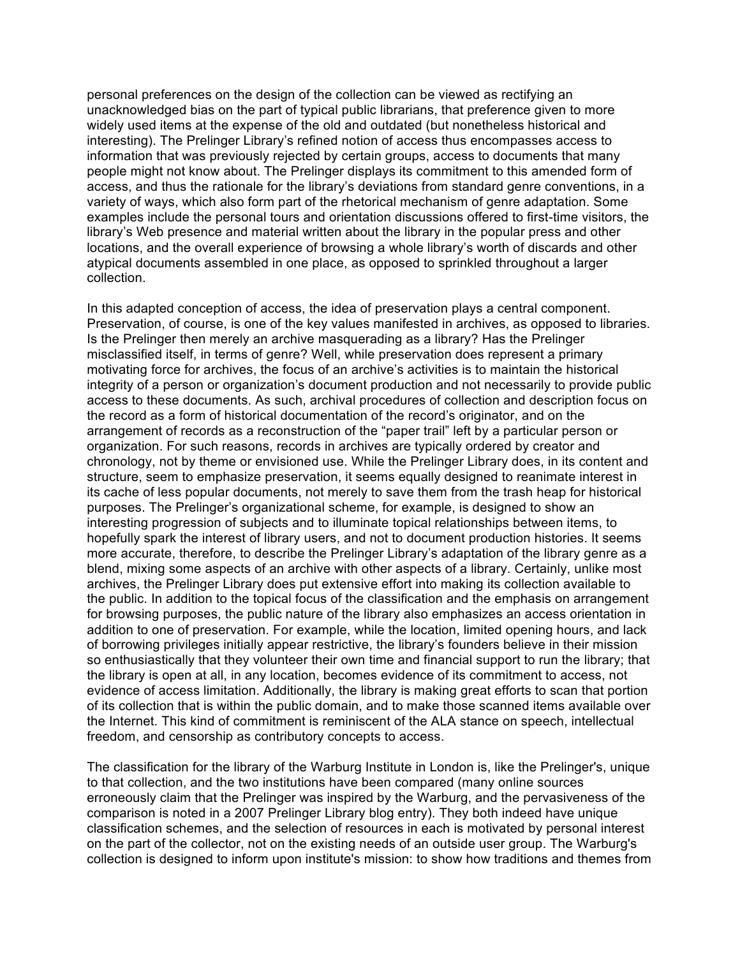personal preferences on the design of the collection can be viewed as rectifying an unacknowledged bias on the part of typical public librarians, that preference given to more widely used items at the expense of the old and outdated (but nonetheless historical and interesting). The Prelinger Library's refined notion of access thus encompasses access to information that was previously rejected by certain groups, access to documents that many people might not know about. The Prelinger displays its commitment to this amended form of access, and thus the rationale for the library's deviations from standard genre conventions, in a variety of ways, which also form part of the rhetorical mechanism of genre adaptation. Some examples include the personal tours and orientation discussions offered to first-time visitors, the library's Web presence and material written about the library in the popular press and other locations, and the overall experience of browsing a whole library's worth of discards and other atypical documents assembled in one place, as opposed to sprinkled throughout a larger collection.

In this adapted conception of access, the idea of preservation plays a central component. Preservation, of course, is one of the key values manifested in archives, as opposed to libraries. Is the Prelinger then merely an archive masquerading as a library? Has the Prelinger misclassified itself, in terms of genre? Well, while preservation does represent a primary motivating force for archives, the focus of an archive's activities is to maintain the historical integrity of a person or organization's document production and not necessarily to provide public access to these documents. As such, archival procedures of collection and description focus on the record as a form of historical documentation of the record's originator, and on the arrangement of records as a reconstruction of the "paper trail" left by a particular person or organization. For such reasons, records in archives are typically ordered by creator and chronology, not by theme or envisioned use. While the Prelinger Library does, in its content and structure, seem to emphasize preservation, it seems equally designed to reanimate interest in its cache of less popular documents, not merely to save them from the trash heap for historical purposes. The Prelinger's organizational scheme, for example, is designed to show an interesting progression of subjects and to illuminate topical relationships between items, to hopefully spark the interest of library users, and not to document production histories. It seems more accurate, therefore, to describe the Prelinger Library's adaptation of the library genre as a blend, mixing some aspects of an archive with other aspects of a library. Certainly, unlike most archives, the Prelinger Library does put extensive effort into making its collection available to the public. In addition to the topical focus of the classification and the emphasis on arrangement for browsing purposes, the public nature of the library also emphasizes an access orientation in addition to one of preservation. For example, while the location, limited opening hours, and lack of borrowing privileges initially appear restrictive, the library's founders believe in their mission so enthusiastically that they volunteer their own time and financial support to run the library; that the library is open at all, in any location, becomes evidence of its commitment to access, not evidence of access limitation. Additionally, the library is making great efforts to scan that portion of its collection that is within the public domain, and to make those scanned items available over the Internet. This kind of commitment is reminiscent of the ALA stance on speech, intellectual freedom, and censorship as contributory concepts to access.

The classification for the library of the Warburg Institute in London is, like the Prelinger's, unique to that collection, and the two institutions have been compared (many online sources erroneously claim that the Prelinger was inspired by the Warburg, and the pervasiveness of the comparison is noted in a 2007 Prelinger Library blog entry). They both indeed have unique classification schemes, and the selection of resources in each is motivated by personal interest on the part of the collector, not on the existing needs of an outside user group. The Warburg's collection is designed to inform upon institute's mission: to show how traditions and themes from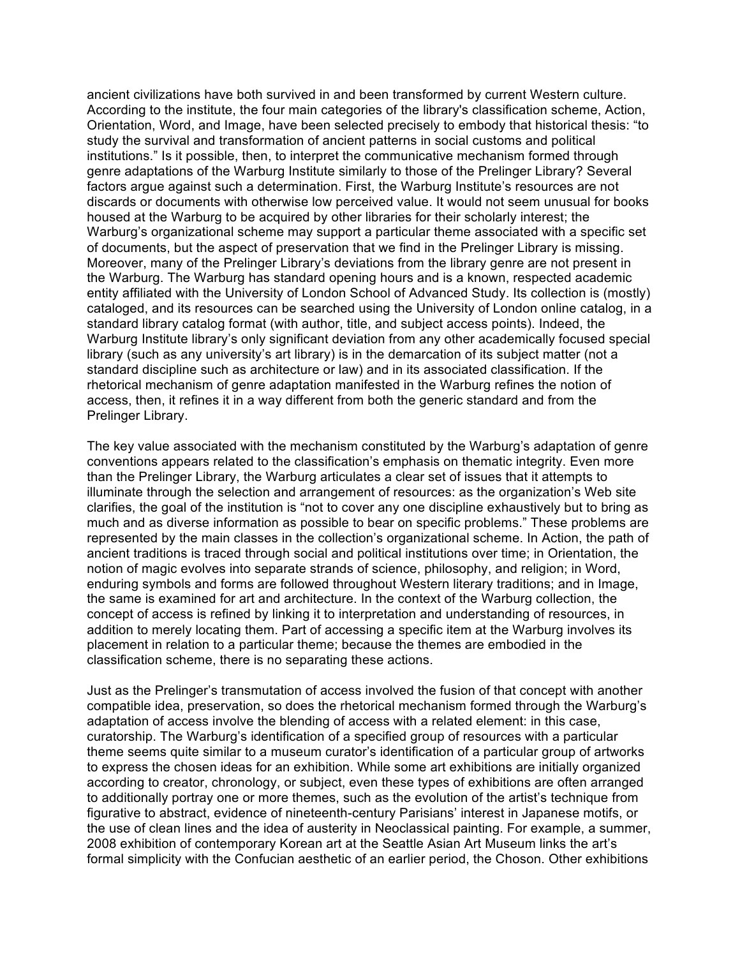ancient civilizations have both survived in and been transformed by current Western culture. According to the institute, the four main categories of the library's classification scheme, Action, Orientation, Word, and Image, have been selected precisely to embody that historical thesis: "to study the survival and transformation of ancient patterns in social customs and political institutions." Is it possible, then, to interpret the communicative mechanism formed through genre adaptations of the Warburg Institute similarly to those of the Prelinger Library? Several factors argue against such a determination. First, the Warburg Institute's resources are not discards or documents with otherwise low perceived value. It would not seem unusual for books housed at the Warburg to be acquired by other libraries for their scholarly interest; the Warburg's organizational scheme may support a particular theme associated with a specific set of documents, but the aspect of preservation that we find in the Prelinger Library is missing. Moreover, many of the Prelinger Library's deviations from the library genre are not present in the Warburg. The Warburg has standard opening hours and is a known, respected academic entity affiliated with the University of London School of Advanced Study. Its collection is (mostly) cataloged, and its resources can be searched using the University of London online catalog, in a standard library catalog format (with author, title, and subject access points). Indeed, the Warburg Institute library's only significant deviation from any other academically focused special library (such as any university's art library) is in the demarcation of its subject matter (not a standard discipline such as architecture or law) and in its associated classification. If the rhetorical mechanism of genre adaptation manifested in the Warburg refines the notion of access, then, it refines it in a way different from both the generic standard and from the Prelinger Library.

The key value associated with the mechanism constituted by the Warburg's adaptation of genre conventions appears related to the classification's emphasis on thematic integrity. Even more than the Prelinger Library, the Warburg articulates a clear set of issues that it attempts to illuminate through the selection and arrangement of resources: as the organization's Web site clarifies, the goal of the institution is "not to cover any one discipline exhaustively but to bring as much and as diverse information as possible to bear on specific problems." These problems are represented by the main classes in the collection's organizational scheme. In Action, the path of ancient traditions is traced through social and political institutions over time; in Orientation, the notion of magic evolves into separate strands of science, philosophy, and religion; in Word, enduring symbols and forms are followed throughout Western literary traditions; and in Image, the same is examined for art and architecture. In the context of the Warburg collection, the concept of access is refined by linking it to interpretation and understanding of resources, in addition to merely locating them. Part of accessing a specific item at the Warburg involves its placement in relation to a particular theme; because the themes are embodied in the classification scheme, there is no separating these actions.

Just as the Prelinger's transmutation of access involved the fusion of that concept with another compatible idea, preservation, so does the rhetorical mechanism formed through the Warburg's adaptation of access involve the blending of access with a related element: in this case, curatorship. The Warburg's identification of a specified group of resources with a particular theme seems quite similar to a museum curator's identification of a particular group of artworks to express the chosen ideas for an exhibition. While some art exhibitions are initially organized according to creator, chronology, or subject, even these types of exhibitions are often arranged to additionally portray one or more themes, such as the evolution of the artist's technique from figurative to abstract, evidence of nineteenth-century Parisians' interest in Japanese motifs, or the use of clean lines and the idea of austerity in Neoclassical painting. For example, a summer, 2008 exhibition of contemporary Korean art at the Seattle Asian Art Museum links the art's formal simplicity with the Confucian aesthetic of an earlier period, the Choson. Other exhibitions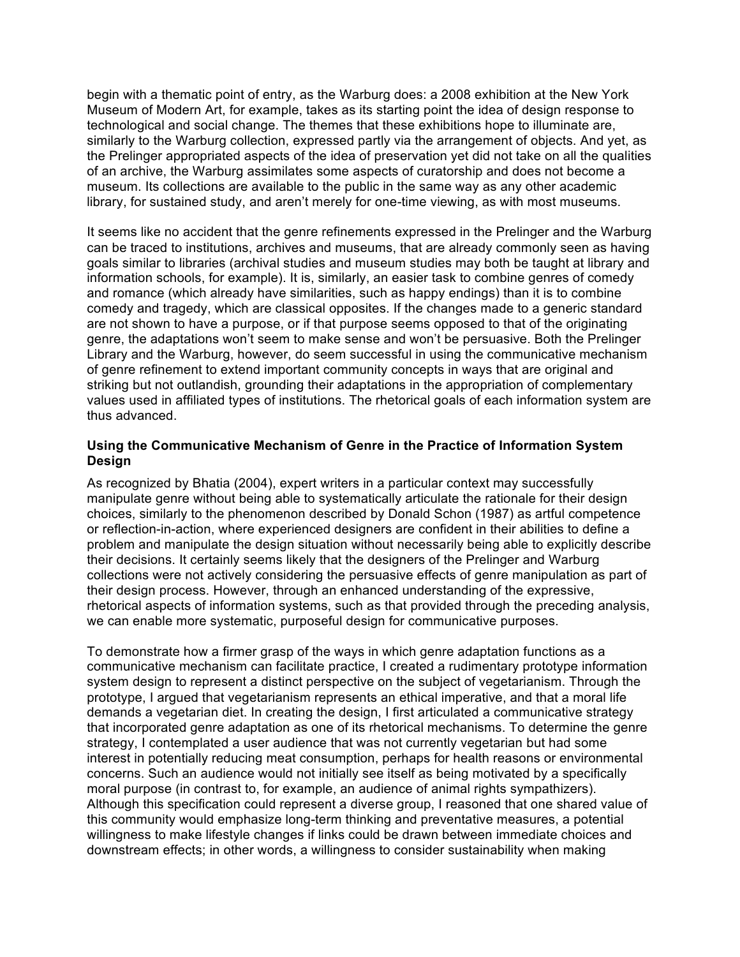begin with a thematic point of entry, as the Warburg does: a 2008 exhibition at the New York Museum of Modern Art, for example, takes as its starting point the idea of design response to technological and social change. The themes that these exhibitions hope to illuminate are, similarly to the Warburg collection, expressed partly via the arrangement of objects. And yet, as the Prelinger appropriated aspects of the idea of preservation yet did not take on all the qualities of an archive, the Warburg assimilates some aspects of curatorship and does not become a museum. Its collections are available to the public in the same way as any other academic library, for sustained study, and aren't merely for one-time viewing, as with most museums.

It seems like no accident that the genre refinements expressed in the Prelinger and the Warburg can be traced to institutions, archives and museums, that are already commonly seen as having goals similar to libraries (archival studies and museum studies may both be taught at library and information schools, for example). It is, similarly, an easier task to combine genres of comedy and romance (which already have similarities, such as happy endings) than it is to combine comedy and tragedy, which are classical opposites. If the changes made to a generic standard are not shown to have a purpose, or if that purpose seems opposed to that of the originating genre, the adaptations won't seem to make sense and won't be persuasive. Both the Prelinger Library and the Warburg, however, do seem successful in using the communicative mechanism of genre refinement to extend important community concepts in ways that are original and striking but not outlandish, grounding their adaptations in the appropriation of complementary values used in affiliated types of institutions. The rhetorical goals of each information system are thus advanced.

## **Using the Communicative Mechanism of Genre in the Practice of Information System Design**

As recognized by Bhatia (2004), expert writers in a particular context may successfully manipulate genre without being able to systematically articulate the rationale for their design choices, similarly to the phenomenon described by Donald Schon (1987) as artful competence or reflection-in-action, where experienced designers are confident in their abilities to define a problem and manipulate the design situation without necessarily being able to explicitly describe their decisions. It certainly seems likely that the designers of the Prelinger and Warburg collections were not actively considering the persuasive effects of genre manipulation as part of their design process. However, through an enhanced understanding of the expressive, rhetorical aspects of information systems, such as that provided through the preceding analysis, we can enable more systematic, purposeful design for communicative purposes.

To demonstrate how a firmer grasp of the ways in which genre adaptation functions as a communicative mechanism can facilitate practice, I created a rudimentary prototype information system design to represent a distinct perspective on the subject of vegetarianism. Through the prototype, I argued that vegetarianism represents an ethical imperative, and that a moral life demands a vegetarian diet. In creating the design, I first articulated a communicative strategy that incorporated genre adaptation as one of its rhetorical mechanisms. To determine the genre strategy, I contemplated a user audience that was not currently vegetarian but had some interest in potentially reducing meat consumption, perhaps for health reasons or environmental concerns. Such an audience would not initially see itself as being motivated by a specifically moral purpose (in contrast to, for example, an audience of animal rights sympathizers). Although this specification could represent a diverse group, I reasoned that one shared value of this community would emphasize long-term thinking and preventative measures, a potential willingness to make lifestyle changes if links could be drawn between immediate choices and downstream effects; in other words, a willingness to consider sustainability when making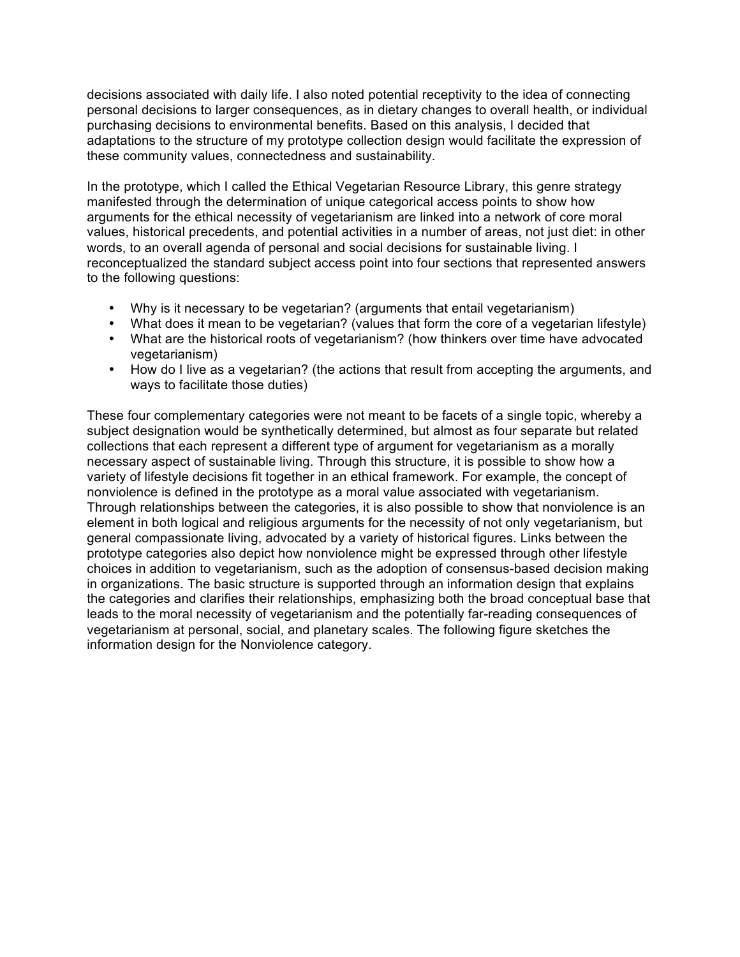decisions associated with daily life. I also noted potential receptivity to the idea of connecting personal decisions to larger consequences, as in dietary changes to overall health, or individual purchasing decisions to environmental benefits. Based on this analysis, I decided that adaptations to the structure of my prototype collection design would facilitate the expression of these community values, connectedness and sustainability.

In the prototype, which I called the Ethical Vegetarian Resource Library, this genre strategy manifested through the determination of unique categorical access points to show how arguments for the ethical necessity of vegetarianism are linked into a network of core moral values, historical precedents, and potential activities in a number of areas, not just diet: in other words, to an overall agenda of personal and social decisions for sustainable living. I reconceptualized the standard subject access point into four sections that represented answers to the following questions:

- Why is it necessary to be vegetarian? (arguments that entail vegetarianism)
- What does it mean to be vegetarian? (values that form the core of a vegetarian lifestyle)
- What are the historical roots of vegetarianism? (how thinkers over time have advocated vegetarianism)
- How do I live as a vegetarian? (the actions that result from accepting the arguments, and ways to facilitate those duties)

These four complementary categories were not meant to be facets of a single topic, whereby a subject designation would be synthetically determined, but almost as four separate but related collections that each represent a different type of argument for vegetarianism as a morally necessary aspect of sustainable living. Through this structure, it is possible to show how a variety of lifestyle decisions fit together in an ethical framework. For example, the concept of nonviolence is defined in the prototype as a moral value associated with vegetarianism. Through relationships between the categories, it is also possible to show that nonviolence is an element in both logical and religious arguments for the necessity of not only vegetarianism, but general compassionate living, advocated by a variety of historical figures. Links between the prototype categories also depict how nonviolence might be expressed through other lifestyle choices in addition to vegetarianism, such as the adoption of consensus-based decision making in organizations. The basic structure is supported through an information design that explains the categories and clarifies their relationships, emphasizing both the broad conceptual base that leads to the moral necessity of vegetarianism and the potentially far-reading consequences of vegetarianism at personal, social, and planetary scales. The following figure sketches the information design for the Nonviolence category.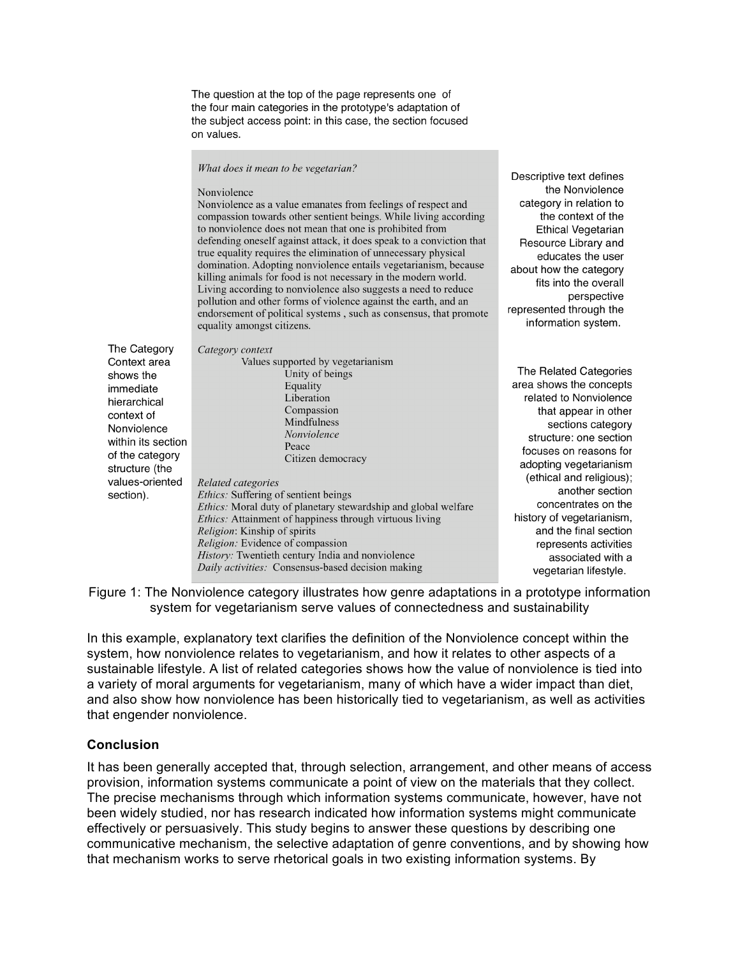The question at the top of the page represents one of the four main categories in the prototype's adaptation of the subject access point: in this case, the section focused on values.

What does it mean to be vegetarian?

#### Nonviolence

Nonviolence as a value emanates from feelings of respect and compassion towards other sentient beings. While living according to nonviolence does not mean that one is prohibited from defending oneself against attack, it does speak to a conviction that true equality requires the elimination of unnecessary physical domination. Adopting nonviolence entails vegetarianism, because killing animals for food is not necessary in the modern world. Living according to nonviolence also suggests a need to reduce pollution and other forms of violence against the earth, and an endorsement of political systems, such as consensus, that promote equality amongst citizens.

Descriptive text defines the Nonviolence

category in relation to

Resource Library and

about how the category

represented through the

information system.

the context of the

**Ethical Vegetarian** 

educates the user

fits into the overall

perspective

| The Category       | Category context                                                      |                           |
|--------------------|-----------------------------------------------------------------------|---------------------------|
| Context area       | Values supported by vegetarianism                                     |                           |
| shows the          | Unity of beings                                                       | The Related Categories    |
| immediate          | Equality                                                              | area shows the concepts   |
| hierarchical       | Liberation                                                            | related to Nonviolence    |
| context of         | Compassion                                                            | that appear in other      |
| Nonviolence        | Mindfulness                                                           | sections category         |
| within its section | Nonviolence                                                           | structure: one section    |
| of the category    | Peace                                                                 | focuses on reasons for    |
| structure (the     | Citizen democracy                                                     | adopting vegetarianism    |
| values-oriented    | Related categories                                                    | (ethical and religious);  |
| section).          | <i>Ethics:</i> Suffering of sentient beings                           | another section           |
|                    | <i>Ethics:</i> Moral duty of planetary stewardship and global welfare | concentrates on the       |
|                    | <i>Ethics:</i> Attainment of happiness through virtuous living        | history of vegetarianism, |
|                    | <i>Religion:</i> Kinship of spirits                                   | and the final section     |
|                    | <i>Religion:</i> Evidence of compassion                               | represents activities     |
|                    | History: Twentieth century India and nonviolence                      | associated with a         |
|                    | Daily activities: Consensus-based decision making                     | vegetarian lifestyle.     |

Figure 1: The Nonviolence category illustrates how genre adaptations in a prototype information system for vegetarianism serve values of connectedness and sustainability

In this example, explanatory text clarifies the definition of the Nonviolence concept within the system, how nonviolence relates to vegetarianism, and how it relates to other aspects of a sustainable lifestyle. A list of related categories shows how the value of nonviolence is tied into a variety of moral arguments for vegetarianism, many of which have a wider impact than diet, and also show how nonviolence has been historically tied to vegetarianism, as well as activities that engender nonviolence.

## **Conclusion**

It has been generally accepted that, through selection, arrangement, and other means of access provision, information systems communicate a point of view on the materials that they collect. The precise mechanisms through which information systems communicate, however, have not been widely studied, nor has research indicated how information systems might communicate effectively or persuasively. This study begins to answer these questions by describing one communicative mechanism, the selective adaptation of genre conventions, and by showing how that mechanism works to serve rhetorical goals in two existing information systems. By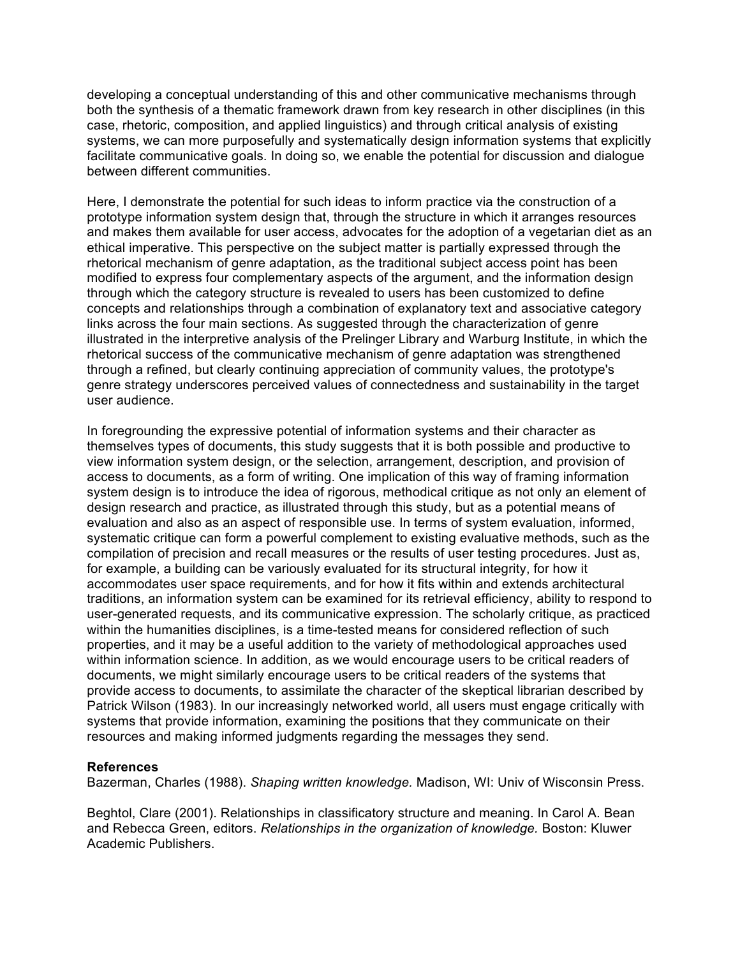developing a conceptual understanding of this and other communicative mechanisms through both the synthesis of a thematic framework drawn from key research in other disciplines (in this case, rhetoric, composition, and applied linguistics) and through critical analysis of existing systems, we can more purposefully and systematically design information systems that explicitly facilitate communicative goals. In doing so, we enable the potential for discussion and dialogue between different communities.

Here, I demonstrate the potential for such ideas to inform practice via the construction of a prototype information system design that, through the structure in which it arranges resources and makes them available for user access, advocates for the adoption of a vegetarian diet as an ethical imperative. This perspective on the subject matter is partially expressed through the rhetorical mechanism of genre adaptation, as the traditional subject access point has been modified to express four complementary aspects of the argument, and the information design through which the category structure is revealed to users has been customized to define concepts and relationships through a combination of explanatory text and associative category links across the four main sections. As suggested through the characterization of genre illustrated in the interpretive analysis of the Prelinger Library and Warburg Institute, in which the rhetorical success of the communicative mechanism of genre adaptation was strengthened through a refined, but clearly continuing appreciation of community values, the prototype's genre strategy underscores perceived values of connectedness and sustainability in the target user audience.

In foregrounding the expressive potential of information systems and their character as themselves types of documents, this study suggests that it is both possible and productive to view information system design, or the selection, arrangement, description, and provision of access to documents, as a form of writing. One implication of this way of framing information system design is to introduce the idea of rigorous, methodical critique as not only an element of design research and practice, as illustrated through this study, but as a potential means of evaluation and also as an aspect of responsible use. In terms of system evaluation, informed, systematic critique can form a powerful complement to existing evaluative methods, such as the compilation of precision and recall measures or the results of user testing procedures. Just as, for example, a building can be variously evaluated for its structural integrity, for how it accommodates user space requirements, and for how it fits within and extends architectural traditions, an information system can be examined for its retrieval efficiency, ability to respond to user-generated requests, and its communicative expression. The scholarly critique, as practiced within the humanities disciplines, is a time-tested means for considered reflection of such properties, and it may be a useful addition to the variety of methodological approaches used within information science. In addition, as we would encourage users to be critical readers of documents, we might similarly encourage users to be critical readers of the systems that provide access to documents, to assimilate the character of the skeptical librarian described by Patrick Wilson (1983). In our increasingly networked world, all users must engage critically with systems that provide information, examining the positions that they communicate on their resources and making informed judgments regarding the messages they send.

# **References**

Bazerman, Charles (1988). *Shaping written knowledge.* Madison, WI: Univ of Wisconsin Press.

Beghtol, Clare (2001). Relationships in classificatory structure and meaning. In Carol A. Bean and Rebecca Green, editors. *Relationships in the organization of knowledge.* Boston: Kluwer Academic Publishers.